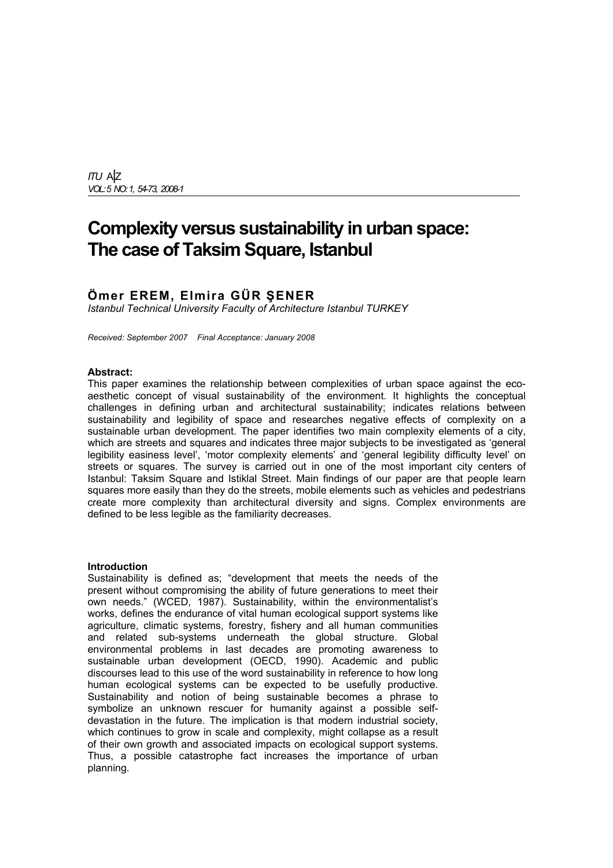*ITU* A|Z *VOL: 5 NO: 1, 54-73, 2008-1*

# **Complexity versus sustainability in urban space: The case of Taksim Square, Istanbul**

# **Ömer EREM, Elmira GÜR ŞENER**

*Istanbul Technical University Faculty of Architecture Istanbul TURKEY*

*Received: September 2007 Final Acceptance: January 2008* 

#### **Abstract:**

This paper examines the relationship between complexities of urban space against the ecoaesthetic concept of visual sustainability of the environment. It highlights the conceptual challenges in defining urban and architectural sustainability; indicates relations between sustainability and legibility of space and researches negative effects of complexity on a sustainable urban development. The paper identifies two main complexity elements of a city, which are streets and squares and indicates three major subjects to be investigated as 'general legibility easiness level', 'motor complexity elements' and 'general legibility difficulty level' on streets or squares. The survey is carried out in one of the most important city centers of Istanbul: Taksim Square and Istiklal Street. Main findings of our paper are that people learn squares more easily than they do the streets, mobile elements such as vehicles and pedestrians create more complexity than architectural diversity and signs. Complex environments are defined to be less legible as the familiarity decreases.

#### **Introduction**

Sustainability is defined as; "development that meets the needs of the present without compromising the ability of future generations to meet their own needs." (WCED, 1987). Sustainability, within the environmentalist's works, defines the endurance of vital human ecological support systems like agriculture, climatic systems, forestry, fishery and all human communities and related sub-systems underneath the global structure. Global environmental problems in last decades are promoting awareness to sustainable urban development (OECD, 1990). Academic and public discourses lead to this use of the word sustainability in reference to how long human ecological systems can be expected to be usefully productive. Sustainability and notion of being sustainable becomes a phrase to symbolize an unknown rescuer for humanity against a possible selfdevastation in the future. The implication is that modern industrial society, which continues to grow in scale and complexity, might collapse as a result of their own growth and associated impacts on ecological support systems. Thus, a possible catastrophe fact increases the importance of urban planning.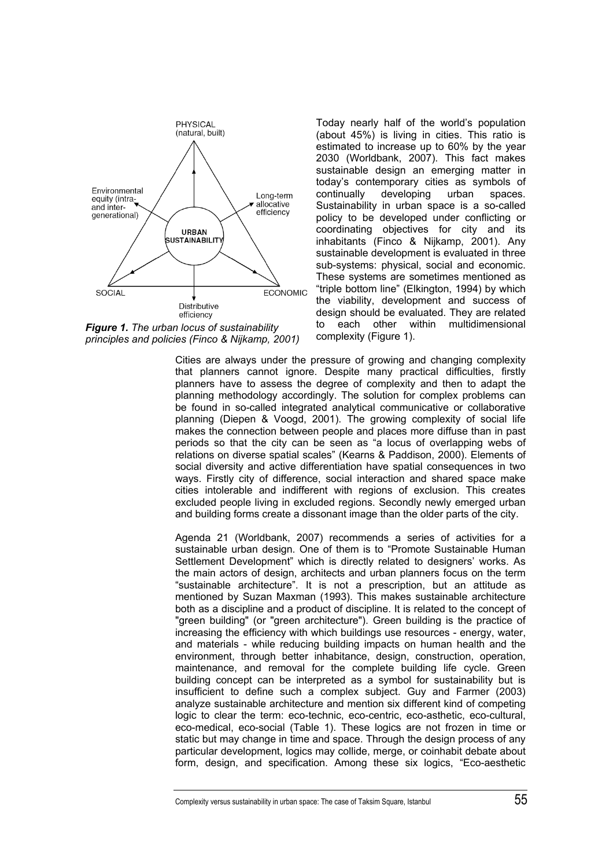

*Figure 1. The urban locus of sustainability principles and policies (Finco & Nijkamp, 2001)*

Today nearly half of the world's population (about 45%) is living in cities. This ratio is estimated to increase up to 60% by the year 2030 (Worldbank, 2007). This fact makes sustainable design an emerging matter in today's contemporary cities as symbols of continually developing urban spaces. Sustainability in urban space is a so-called policy to be developed under conflicting or coordinating objectives for city and its inhabitants (Finco & Nijkamp, 2001). Any sustainable development is evaluated in three sub-systems: physical, social and economic. These systems are sometimes mentioned as "triple bottom line" (Elkington, 1994) by which the viability, development and success of design should be evaluated. They are related to each other within multidimensional complexity (Figure 1).

Cities are always under the pressure of growing and changing complexity that planners cannot ignore. Despite many practical difficulties, firstly planners have to assess the degree of complexity and then to adapt the planning methodology accordingly. The solution for complex problems can be found in so-called integrated analytical communicative or collaborative planning (Diepen & Voogd, 2001). The growing complexity of social life makes the connection between people and places more diffuse than in past periods so that the city can be seen as "a locus of overlapping webs of relations on diverse spatial scales" (Kearns & Paddison, 2000). Elements of social diversity and active differentiation have spatial consequences in two ways. Firstly city of difference, social interaction and shared space make cities intolerable and indifferent with regions of exclusion. This creates excluded people living in excluded regions. Secondly newly emerged urban and building forms create a dissonant image than the older parts of the city.

Agenda 21 (Worldbank, 2007) recommends a series of activities for a sustainable urban design. One of them is to "Promote Sustainable Human Settlement Development" which is directly related to designers' works. As the main actors of design, architects and urban planners focus on the term "sustainable architecture". It is not a prescription, but an attitude as mentioned by Suzan Maxman (1993). This makes sustainable architecture both as a discipline and a product of discipline. It is related to the concept of "green building" (or "green architecture"). Green building is the practice of increasing the efficiency with which buildings use resources - energy, water, and materials - while reducing building impacts on human health and the environment, through better inhabitance, design, construction, operation, maintenance, and removal for the complete building life cycle. Green building concept can be interpreted as a symbol for sustainability but is insufficient to define such a complex subject. Guy and Farmer (2003) analyze sustainable architecture and mention six different kind of competing logic to clear the term: eco-technic, eco-centric, eco-asthetic, eco-cultural, eco-medical, eco-social (Table 1). These logics are not frozen in time or static but may change in time and space. Through the design process of any particular development, logics may collide, merge, or coinhabit debate about form, design, and specification. Among these six logics, "Eco-aesthetic

Complexity versus sustainability in urban space: The case of Taksim Square, Istanbul 55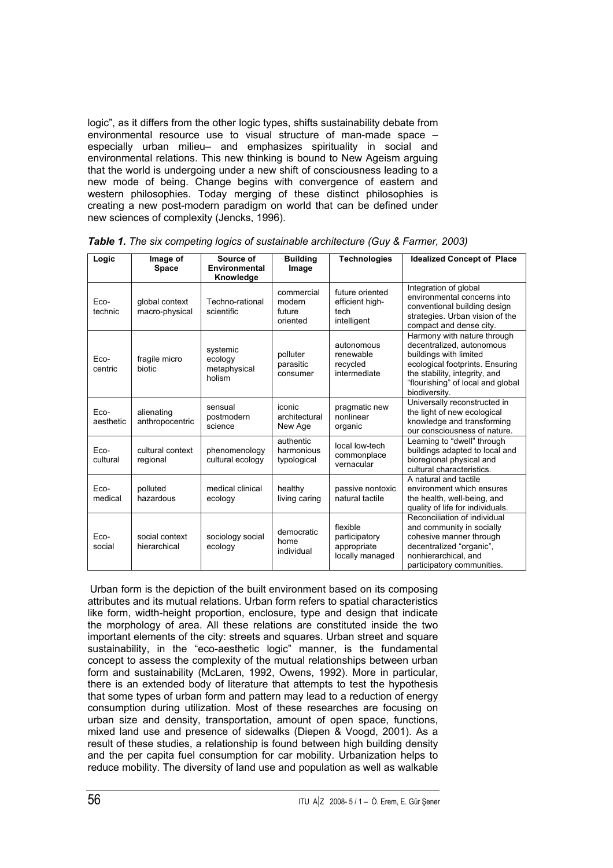logic", as it differs from the other logic types, shifts sustainability debate from environmental resource use to visual structure of man-made space – especially urban milieu– and emphasizes spirituality in social and environmental relations. This new thinking is bound to New Ageism arguing that the world is undergoing under a new shift of consciousness leading to a new mode of being. Change begins with convergence of eastern and western philosophies. Today merging of these distinct philosophies is creating a new post-modern paradigm on world that can be defined under new sciences of complexity (Jencks, 1996).

| Logic             | Image of<br><b>Space</b>         | Source of<br>Environmental<br>Knowledge       | <b>Building</b><br>Image                   | <b>Technologies</b>                                         | <b>Idealized Concept of Place</b>                                                                                                                                                                            |
|-------------------|----------------------------------|-----------------------------------------------|--------------------------------------------|-------------------------------------------------------------|--------------------------------------------------------------------------------------------------------------------------------------------------------------------------------------------------------------|
| Eco-<br>technic   | global context<br>macro-physical | Techno-rational<br>scientific                 | commercial<br>modern<br>future<br>oriented | future oriented<br>efficient high-<br>tech<br>intelligent   | Integration of global<br>environmental concerns into<br>conventional building design<br>strategies. Urban vision of the<br>compact and dense city.                                                           |
| Eco-<br>centric   | fragile micro<br>biotic          | systemic<br>ecology<br>metaphysical<br>holism | polluter<br>parasitic<br>consumer          | autonomous<br>renewable<br>recycled<br>intermediate         | Harmony with nature through<br>decentralized, autonomous<br>buildings with limited<br>ecological footprints. Ensuring<br>the stability, integrity, and<br>"flourishing" of local and global<br>biodiversity. |
| Eco-<br>aesthetic | alienating<br>anthropocentric    | sensual<br>postmodern<br>science              | iconic<br>architectural<br>New Age         | pragmatic new<br>nonlinear<br>organic                       | Universally reconstructed in<br>the light of new ecological<br>knowledge and transforming<br>our consciousness of nature.                                                                                    |
| Eco-<br>cultural  | cultural context<br>regional     | phenomenology<br>cultural ecology             | authentic<br>harmonious<br>typological     | local low-tech<br>commonplace<br>vernacular                 | Learning to "dwell" through<br>buildings adapted to local and<br>bioregional physical and<br>cultural characteristics.                                                                                       |
| Eco-<br>medical   | polluted<br>hazardous            | medical clinical<br>ecology                   | healthy<br>living caring                   | passive nontoxic<br>natural tactile                         | A natural and tactile<br>environment which ensures<br>the health, well-being, and<br>quality of life for individuals.                                                                                        |
| Eco-<br>social    | social context<br>hierarchical   | sociology social<br>ecology                   | democratic<br>home<br>individual           | flexible<br>participatory<br>appropriate<br>locally managed | Reconciliation of individual<br>and community in socially<br>cohesive manner through<br>decentralized "organic",<br>nonhierarchical, and<br>participatory communities.                                       |

*Table 1. The six competing logics of sustainable architecture (Guy & Farmer, 2003)*

Urban form is the depiction of the built environment based on its composing attributes and its mutual relations. Urban form refers to spatial characteristics like form, width-height proportion, enclosure, type and design that indicate the morphology of area. All these relations are constituted inside the two important elements of the city: streets and squares. Urban street and square sustainability, in the "eco-aesthetic logic" manner, is the fundamental concept to assess the complexity of the mutual relationships between urban form and sustainability (McLaren, 1992, Owens, 1992). More in particular, there is an extended body of literature that attempts to test the hypothesis that some types of urban form and pattern may lead to a reduction of energy consumption during utilization. Most of these researches are focusing on urban size and density, transportation, amount of open space, functions, mixed land use and presence of sidewalks (Diepen & Voogd, 2001). As a result of these studies, a relationship is found between high building density and the per capita fuel consumption for car mobility. Urbanization helps to reduce mobility. The diversity of land use and population as well as walkable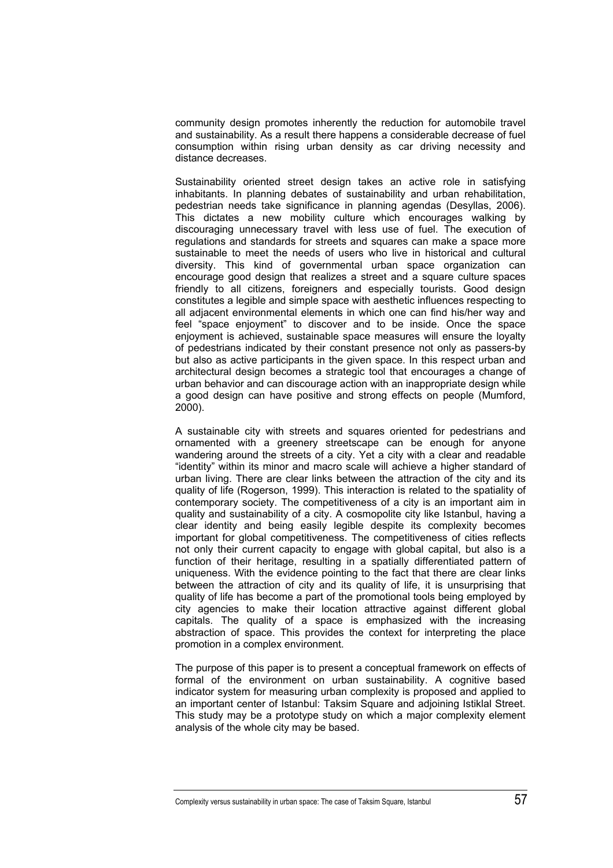community design promotes inherently the reduction for automobile travel and sustainability. As a result there happens a considerable decrease of fuel consumption within rising urban density as car driving necessity and distance decreases.

Sustainability oriented street design takes an active role in satisfying inhabitants. In planning debates of sustainability and urban rehabilitation, pedestrian needs take significance in planning agendas (Desyllas, 2006). This dictates a new mobility culture which encourages walking by discouraging unnecessary travel with less use of fuel. The execution of regulations and standards for streets and squares can make a space more sustainable to meet the needs of users who live in historical and cultural diversity. This kind of governmental urban space organization can encourage good design that realizes a street and a square culture spaces friendly to all citizens, foreigners and especially tourists. Good design constitutes a legible and simple space with aesthetic influences respecting to all adjacent environmental elements in which one can find his/her way and feel "space enjoyment" to discover and to be inside. Once the space enjoyment is achieved, sustainable space measures will ensure the loyalty of pedestrians indicated by their constant presence not only as passers-by but also as active participants in the given space. In this respect urban and architectural design becomes a strategic tool that encourages a change of urban behavior and can discourage action with an inappropriate design while a good design can have positive and strong effects on people (Mumford, 2000).

A sustainable city with streets and squares oriented for pedestrians and ornamented with a greenery streetscape can be enough for anyone wandering around the streets of a city. Yet a city with a clear and readable "identity" within its minor and macro scale will achieve a higher standard of urban living. There are clear links between the attraction of the city and its quality of life (Rogerson, 1999). This interaction is related to the spatiality of contemporary society. The competitiveness of a city is an important aim in quality and sustainability of a city. A cosmopolite city like Istanbul, having a clear identity and being easily legible despite its complexity becomes important for global competitiveness. The competitiveness of cities reflects not only their current capacity to engage with global capital, but also is a function of their heritage, resulting in a spatially differentiated pattern of uniqueness. With the evidence pointing to the fact that there are clear links between the attraction of city and its quality of life, it is unsurprising that quality of life has become a part of the promotional tools being employed by city agencies to make their location attractive against different global capitals. The quality of a space is emphasized with the increasing abstraction of space. This provides the context for interpreting the place promotion in a complex environment.

The purpose of this paper is to present a conceptual framework on effects of formal of the environment on urban sustainability. A cognitive based indicator system for measuring urban complexity is proposed and applied to an important center of Istanbul: Taksim Square and adjoining Istiklal Street. This study may be a prototype study on which a major complexity element analysis of the whole city may be based.

Complexity versus sustainability in urban space: The case of Taksim Square, Istanbul  $57$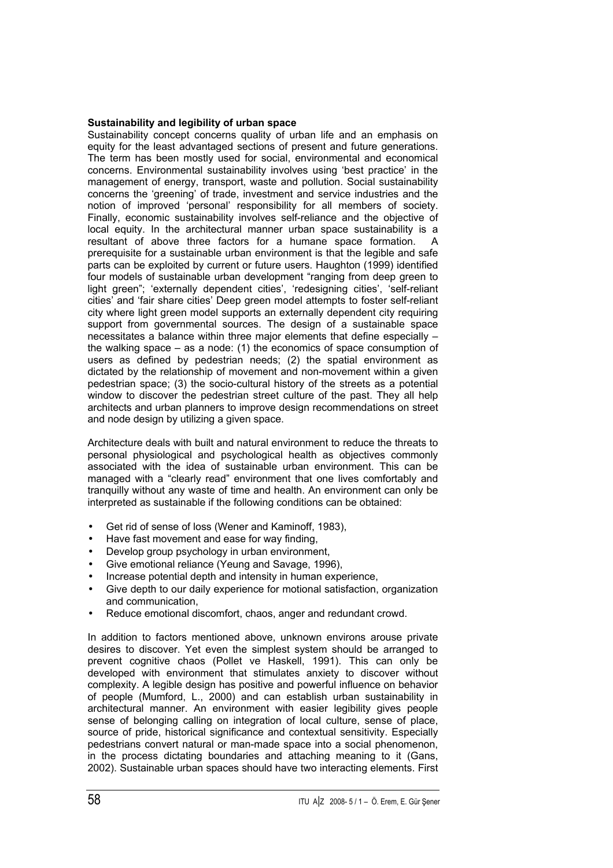## **Sustainability and legibility of urban space**

Sustainability concept concerns quality of urban life and an emphasis on equity for the least advantaged sections of present and future generations. The term has been mostly used for social, environmental and economical concerns. Environmental sustainability involves using 'best practice' in the management of energy, transport, waste and pollution. Social sustainability concerns the 'greening' of trade, investment and service industries and the notion of improved 'personal' responsibility for all members of society. Finally, economic sustainability involves self-reliance and the objective of local equity. In the architectural manner urban space sustainability is a resultant of above three factors for a humane space formation. A prerequisite for a sustainable urban environment is that the legible and safe parts can be exploited by current or future users. Haughton (1999) identified four models of sustainable urban development "ranging from deep green to light green"; 'externally dependent cities', 'redesigning cities', 'self-reliant cities' and 'fair share cities' Deep green model attempts to foster self-reliant city where light green model supports an externally dependent city requiring support from governmental sources. The design of a sustainable space necessitates a balance within three major elements that define especially – the walking space – as a node: (1) the economics of space consumption of users as defined by pedestrian needs; (2) the spatial environment as dictated by the relationship of movement and non-movement within a given pedestrian space; (3) the socio-cultural history of the streets as a potential window to discover the pedestrian street culture of the past. They all help architects and urban planners to improve design recommendations on street and node design by utilizing a given space.

Architecture deals with built and natural environment to reduce the threats to personal physiological and psychological health as objectives commonly associated with the idea of sustainable urban environment. This can be managed with a "clearly read" environment that one lives comfortably and tranquilly without any waste of time and health. An environment can only be interpreted as sustainable if the following conditions can be obtained:

- Get rid of sense of loss (Wener and Kaminoff, 1983),
- Have fast movement and ease for way finding,
- Develop group psychology in urban environment.
- Give emotional reliance (Yeung and Savage, 1996),
- Increase potential depth and intensity in human experience,
- Give depth to our daily experience for motional satisfaction, organization and communication,
- Reduce emotional discomfort, chaos, anger and redundant crowd.

In addition to factors mentioned above, unknown environs arouse private desires to discover. Yet even the simplest system should be arranged to prevent cognitive chaos (Pollet ve Haskell, 1991). This can only be developed with environment that stimulates anxiety to discover without complexity. A legible design has positive and powerful influence on behavior of people (Mumford, L., 2000) and can establish urban sustainability in architectural manner. An environment with easier legibility gives people sense of belonging calling on integration of local culture, sense of place, source of pride, historical significance and contextual sensitivity. Especially pedestrians convert natural or man-made space into a social phenomenon, in the process dictating boundaries and attaching meaning to it (Gans, 2002). Sustainable urban spaces should have two interacting elements. First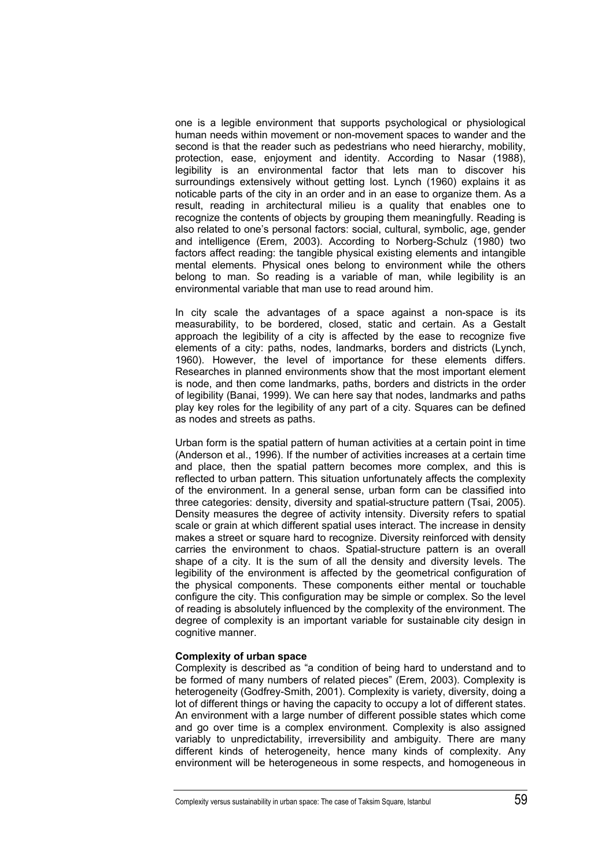one is a legible environment that supports psychological or physiological human needs within movement or non-movement spaces to wander and the second is that the reader such as pedestrians who need hierarchy, mobility, protection, ease, enjoyment and identity. According to Nasar (1988), legibility is an environmental factor that lets man to discover his surroundings extensively without getting lost. Lynch (1960) explains it as noticable parts of the city in an order and in an ease to organize them. As a result, reading in architectural milieu is a quality that enables one to recognize the contents of objects by grouping them meaningfully. Reading is also related to one's personal factors: social, cultural, symbolic, age, gender and intelligence (Erem, 2003). According to Norberg-Schulz (1980) two factors affect reading: the tangible physical existing elements and intangible mental elements. Physical ones belong to environment while the others belong to man. So reading is a variable of man, while legibility is an environmental variable that man use to read around him.

In city scale the advantages of a space against a non-space is its measurability, to be bordered, closed, static and certain. As a Gestalt approach the legibility of a city is affected by the ease to recognize five elements of a city: paths, nodes, landmarks, borders and districts (Lynch, 1960). However, the level of importance for these elements differs. Researches in planned environments show that the most important element is node, and then come landmarks, paths, borders and districts in the order of legibility (Banai, 1999). We can here say that nodes, landmarks and paths play key roles for the legibility of any part of a city. Squares can be defined as nodes and streets as paths.

Urban form is the spatial pattern of human activities at a certain point in time (Anderson et al., 1996). If the number of activities increases at a certain time and place, then the spatial pattern becomes more complex, and this is reflected to urban pattern. This situation unfortunately affects the complexity of the environment. In a general sense, urban form can be classified into three categories: density, diversity and spatial-structure pattern (Tsai, 2005). Density measures the degree of activity intensity. Diversity refers to spatial scale or grain at which different spatial uses interact. The increase in density makes a street or square hard to recognize. Diversity reinforced with density carries the environment to chaos. Spatial-structure pattern is an overall shape of a city. It is the sum of all the density and diversity levels. The legibility of the environment is affected by the geometrical configuration of the physical components. These components either mental or touchable configure the city. This configuration may be simple or complex. So the level of reading is absolutely influenced by the complexity of the environment. The degree of complexity is an important variable for sustainable city design in cognitive manner.

### **Complexity of urban space**

Complexity is described as "a condition of being hard to understand and to be formed of many numbers of related pieces" (Erem, 2003). Complexity is heterogeneity (Godfrey-Smith, 2001). Complexity is variety, diversity, doing a lot of different things or having the capacity to occupy a lot of different states. An environment with a large number of different possible states which come and go over time is a complex environment. Complexity is also assigned variably to unpredictability, irreversibility and ambiguity. There are many different kinds of heterogeneity, hence many kinds of complexity. Any environment will be heterogeneous in some respects, and homogeneous in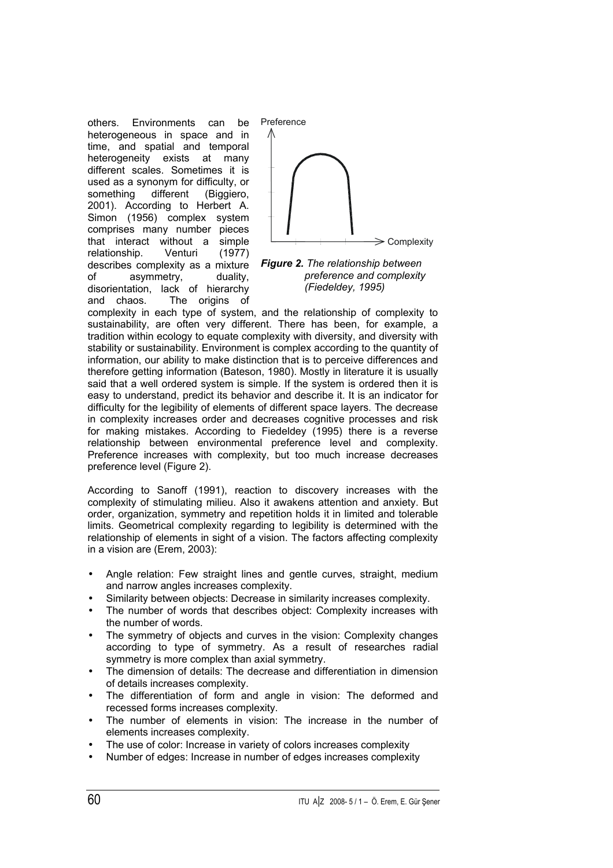others. Environments can be heterogeneous in space and in time, and spatial and temporal heterogeneity exists at many different scales. Sometimes it is used as a synonym for difficulty, or something different (Biggiero, 2001). According to Herbert A. Simon (1956) complex system comprises many number pieces that interact without a simple relationship. Venturi (1977) describes complexity as a mixture of asymmetry, duality, disorientation, lack of hierarchy and chaos. The origins of



*Figure 2. The relationship between preference and complexity (Fiedeldey, 1995)*

complexity in each type of system, and the relationship of complexity to sustainability, are often very different. There has been, for example, a tradition within ecology to equate complexity with diversity, and diversity with stability or sustainability. Environment is complex according to the quantity of information, our ability to make distinction that is to perceive differences and therefore getting information (Bateson, 1980). Mostly in literature it is usually said that a well ordered system is simple. If the system is ordered then it is easy to understand, predict its behavior and describe it. It is an indicator for difficulty for the legibility of elements of different space layers. The decrease in complexity increases order and decreases cognitive processes and risk for making mistakes. According to Fiedeldey (1995) there is a reverse relationship between environmental preference level and complexity. Preference increases with complexity, but too much increase decreases preference level (Figure 2).

According to Sanoff (1991), reaction to discovery increases with the complexity of stimulating milieu. Also it awakens attention and anxiety. But order, organization, symmetry and repetition holds it in limited and tolerable limits. Geometrical complexity regarding to legibility is determined with the relationship of elements in sight of a vision. The factors affecting complexity in a vision are (Erem, 2003):

- Angle relation: Few straight lines and gentle curves, straight, medium and narrow angles increases complexity.
- Similarity between objects: Decrease in similarity increases complexity.
- The number of words that describes object: Complexity increases with the number of words.
- The symmetry of objects and curves in the vision: Complexity changes according to type of symmetry. As a result of researches radial symmetry is more complex than axial symmetry.
- The dimension of details: The decrease and differentiation in dimension of details increases complexity.
- The differentiation of form and angle in vision: The deformed and recessed forms increases complexity.
- The number of elements in vision: The increase in the number of elements increases complexity.
- The use of color: Increase in variety of colors increases complexity
- Number of edges: Increase in number of edges increases complexity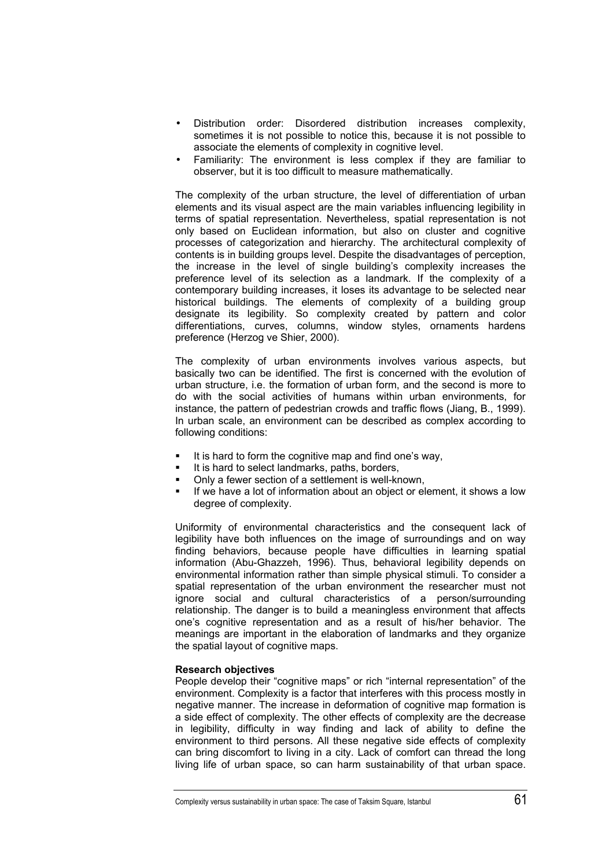- Distribution order: Disordered distribution increases complexity, sometimes it is not possible to notice this, because it is not possible to associate the elements of complexity in cognitive level.
- Familiarity: The environment is less complex if they are familiar to observer, but it is too difficult to measure mathematically.

The complexity of the urban structure, the level of differentiation of urban elements and its visual aspect are the main variables influencing legibility in terms of spatial representation. Nevertheless, spatial representation is not only based on Euclidean information, but also on cluster and cognitive processes of categorization and hierarchy. The architectural complexity of contents is in building groups level. Despite the disadvantages of perception, the increase in the level of single building's complexity increases the preference level of its selection as a landmark. If the complexity of a contemporary building increases, it loses its advantage to be selected near historical buildings. The elements of complexity of a building group designate its legibility. So complexity created by pattern and color differentiations, curves, columns, window styles, ornaments hardens preference (Herzog ve Shier, 2000).

The complexity of urban environments involves various aspects, but basically two can be identified. The first is concerned with the evolution of urban structure, i.e. the formation of urban form, and the second is more to do with the social activities of humans within urban environments, for instance, the pattern of pedestrian crowds and traffic flows (Jiang, B., 1999). In urban scale, an environment can be described as complex according to following conditions:

- It is hard to form the cognitive map and find one's way,
- It is hard to select landmarks, paths, borders,
- Only a fewer section of a settlement is well-known,
- If we have a lot of information about an object or element, it shows a low degree of complexity.

Uniformity of environmental characteristics and the consequent lack of legibility have both influences on the image of surroundings and on way finding behaviors, because people have difficulties in learning spatial information (Abu-Ghazzeh, 1996). Thus, behavioral legibility depends on environmental information rather than simple physical stimuli. To consider a spatial representation of the urban environment the researcher must not ignore social and cultural characteristics of a person/surrounding relationship. The danger is to build a meaningless environment that affects one's cognitive representation and as a result of his/her behavior. The meanings are important in the elaboration of landmarks and they organize the spatial layout of cognitive maps.

### **Research objectives**

People develop their "cognitive maps" or rich "internal representation" of the environment. Complexity is a factor that interferes with this process mostly in negative manner. The increase in deformation of cognitive map formation is a side effect of complexity. The other effects of complexity are the decrease in legibility, difficulty in way finding and lack of ability to define the environment to third persons. All these negative side effects of complexity can bring discomfort to living in a city. Lack of comfort can thread the long living life of urban space, so can harm sustainability of that urban space.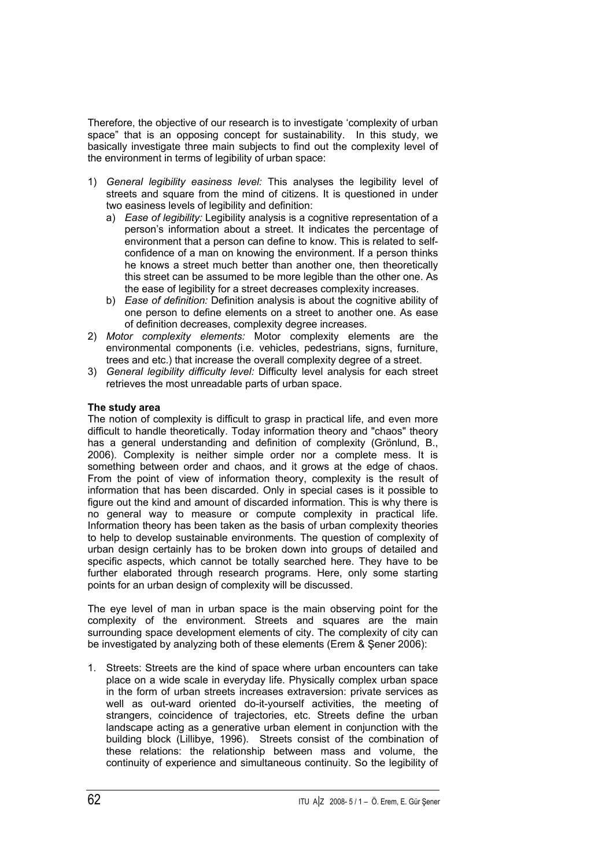Therefore, the objective of our research is to investigate 'complexity of urban space" that is an opposing concept for sustainability. In this study, we basically investigate three main subjects to find out the complexity level of the environment in terms of legibility of urban space:

- 1) *General legibility easiness level:* This analyses the legibility level of streets and square from the mind of citizens. It is questioned in under two easiness levels of legibility and definition:
	- a) *Ease of legibility:* Legibility analysis is a cognitive representation of a person's information about a street. It indicates the percentage of environment that a person can define to know. This is related to selfconfidence of a man on knowing the environment. If a person thinks he knows a street much better than another one, then theoretically this street can be assumed to be more legible than the other one. As the ease of legibility for a street decreases complexity increases.
	- b) *Ease of definition:* Definition analysis is about the cognitive ability of one person to define elements on a street to another one. As ease of definition decreases, complexity degree increases.
- 2) *Motor complexity elements:* Motor complexity elements are the environmental components (i.e. vehicles, pedestrians, signs, furniture, trees and etc.) that increase the overall complexity degree of a street.
- 3) *General legibility difficulty level:* Difficulty level analysis for each street retrieves the most unreadable parts of urban space.

# **The study area**

The notion of complexity is difficult to grasp in practical life, and even more difficult to handle theoretically. Today information theory and "chaos" theory has a general understanding and definition of complexity (Grönlund, B., 2006). Complexity is neither simple order nor a complete mess. It is something between order and chaos, and it grows at the edge of chaos. From the point of view of information theory, complexity is the result of information that has been discarded. Only in special cases is it possible to figure out the kind and amount of discarded information. This is why there is no general way to measure or compute complexity in practical life. Information theory has been taken as the basis of urban complexity theories to help to develop sustainable environments. The question of complexity of urban design certainly has to be broken down into groups of detailed and specific aspects, which cannot be totally searched here. They have to be further elaborated through research programs. Here, only some starting points for an urban design of complexity will be discussed.

The eye level of man in urban space is the main observing point for the complexity of the environment. Streets and squares are the main surrounding space development elements of city. The complexity of city can be investigated by analyzing both of these elements (Erem & Şener 2006):

1. Streets: Streets are the kind of space where urban encounters can take place on a wide scale in everyday life. Physically complex urban space in the form of urban streets increases extraversion: private services as well as out-ward oriented do-it-yourself activities, the meeting of strangers, coincidence of trajectories, etc. Streets define the urban landscape acting as a generative urban element in conjunction with the building block (Lillibye, 1996). Streets consist of the combination of these relations: the relationship between mass and volume, the continuity of experience and simultaneous continuity. So the legibility of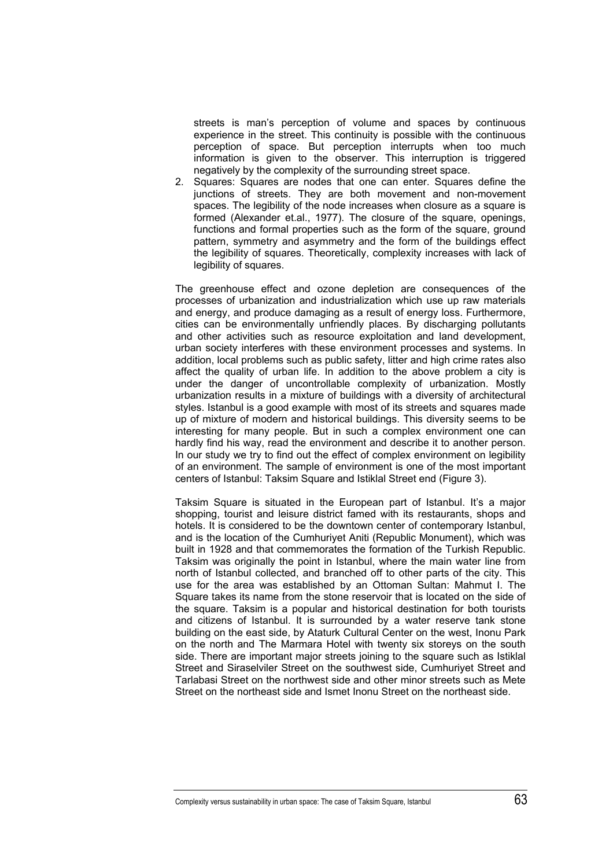streets is man's perception of volume and spaces by continuous experience in the street. This continuity is possible with the continuous perception of space. But perception interrupts when too much information is given to the observer. This interruption is triggered negatively by the complexity of the surrounding street space.

2. Squares: Squares are nodes that one can enter. Squares define the junctions of streets. They are both movement and non-movement spaces. The legibility of the node increases when closure as a square is formed (Alexander et.al., 1977). The closure of the square, openings, functions and formal properties such as the form of the square, ground pattern, symmetry and asymmetry and the form of the buildings effect the legibility of squares. Theoretically, complexity increases with lack of legibility of squares.

The greenhouse effect and ozone depletion are consequences of the processes of urbanization and industrialization which use up raw materials and energy, and produce damaging as a result of energy loss. Furthermore, cities can be environmentally unfriendly places. By discharging pollutants and other activities such as resource exploitation and land development, urban society interferes with these environment processes and systems. In addition, local problems such as public safety, litter and high crime rates also affect the quality of urban life. In addition to the above problem a city is under the danger of uncontrollable complexity of urbanization. Mostly urbanization results in a mixture of buildings with a diversity of architectural styles. Istanbul is a good example with most of its streets and squares made up of mixture of modern and historical buildings. This diversity seems to be interesting for many people. But in such a complex environment one can hardly find his way, read the environment and describe it to another person. In our study we try to find out the effect of complex environment on legibility of an environment. The sample of environment is one of the most important centers of Istanbul: Taksim Square and Istiklal Street end (Figure 3).

Taksim Square is situated in the European part of Istanbul. It's a major shopping, tourist and leisure district famed with its restaurants, shops and hotels. It is considered to be the downtown center of contemporary Istanbul, and is the location of the Cumhuriyet Aniti (Republic Monument), which was built in 1928 and that commemorates the formation of the Turkish Republic. Taksim was originally the point in Istanbul, where the main water line from north of Istanbul collected, and branched off to other parts of the city. This use for the area was established by an Ottoman Sultan: Mahmut I. The Square takes its name from the stone reservoir that is located on the side of the square. Taksim is a popular and historical destination for both tourists and citizens of Istanbul. It is surrounded by a water reserve tank stone building on the east side, by Ataturk Cultural Center on the west, Inonu Park on the north and The Marmara Hotel with twenty six storeys on the south side. There are important major streets joining to the square such as Istiklal Street and Siraselviler Street on the southwest side, Cumhuriyet Street and Tarlabasi Street on the northwest side and other minor streets such as Mete Street on the northeast side and Ismet Inonu Street on the northeast side.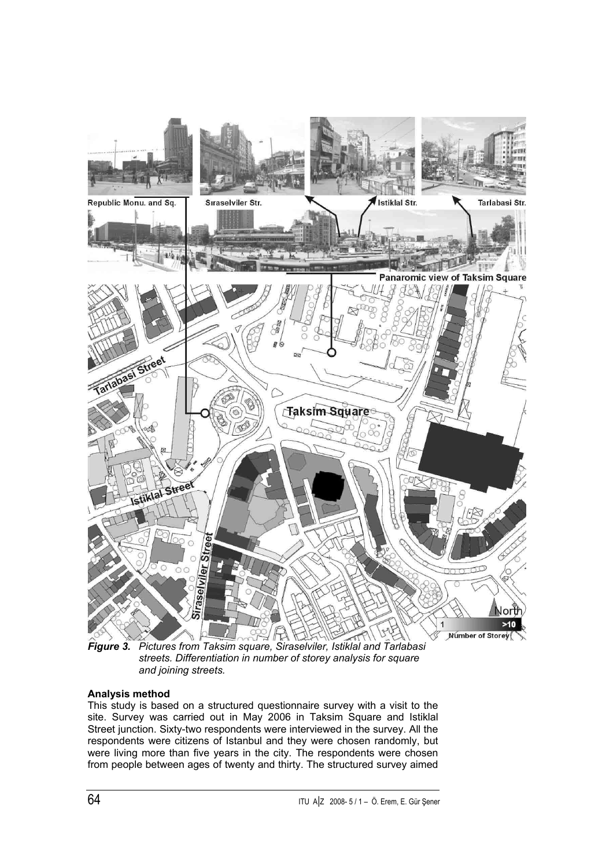

*Figure 3. Pictures from Taksim square, Siraselviler, Istiklal and Tarlabasi streets. Differentiation in number of storey analysis for square and joining streets.*

# **Analysis method**

This study is based on a structured questionnaire survey with a visit to the site. Survey was carried out in May 2006 in Taksim Square and Istiklal Street junction. Sixty-two respondents were interviewed in the survey. All the respondents were citizens of Istanbul and they were chosen randomly, but were living more than five years in the city. The respondents were chosen from people between ages of twenty and thirty. The structured survey aimed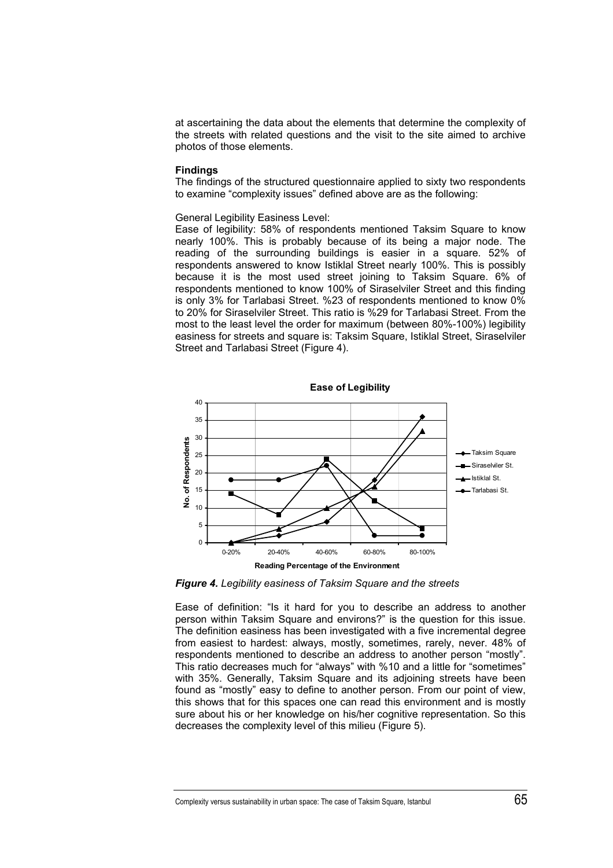at ascertaining the data about the elements that determine the complexity of the streets with related questions and the visit to the site aimed to archive photos of those elements.

#### **Findings**

The findings of the structured questionnaire applied to sixty two respondents to examine "complexity issues" defined above are as the following:

### General Legibility Easiness Level:

Ease of legibility: 58% of respondents mentioned Taksim Square to know nearly 100%. This is probably because of its being a major node. The reading of the surrounding buildings is easier in a square. 52% of respondents answered to know Istiklal Street nearly 100%. This is possibly because it is the most used street joining to Taksim Square. 6% of respondents mentioned to know 100% of Siraselviler Street and this finding is only 3% for Tarlabasi Street. %23 of respondents mentioned to know 0% to 20% for Siraselviler Street. This ratio is %29 for Tarlabasi Street. From the most to the least level the order for maximum (between 80%-100%) legibility easiness for streets and square is: Taksim Square, Istiklal Street, Siraselviler Street and Tarlabasi Street (Figure 4).



*Figure 4. Legibility easiness of Taksim Square and the streets* 

Ease of definition: "Is it hard for you to describe an address to another person within Taksim Square and environs?" is the question for this issue. The definition easiness has been investigated with a five incremental degree from easiest to hardest: always, mostly, sometimes, rarely, never. 48% of respondents mentioned to describe an address to another person "mostly". This ratio decreases much for "always" with %10 and a little for "sometimes" with 35%. Generally, Taksim Square and its adjoining streets have been found as "mostly" easy to define to another person. From our point of view, this shows that for this spaces one can read this environment and is mostly sure about his or her knowledge on his/her cognitive representation. So this decreases the complexity level of this milieu (Figure 5).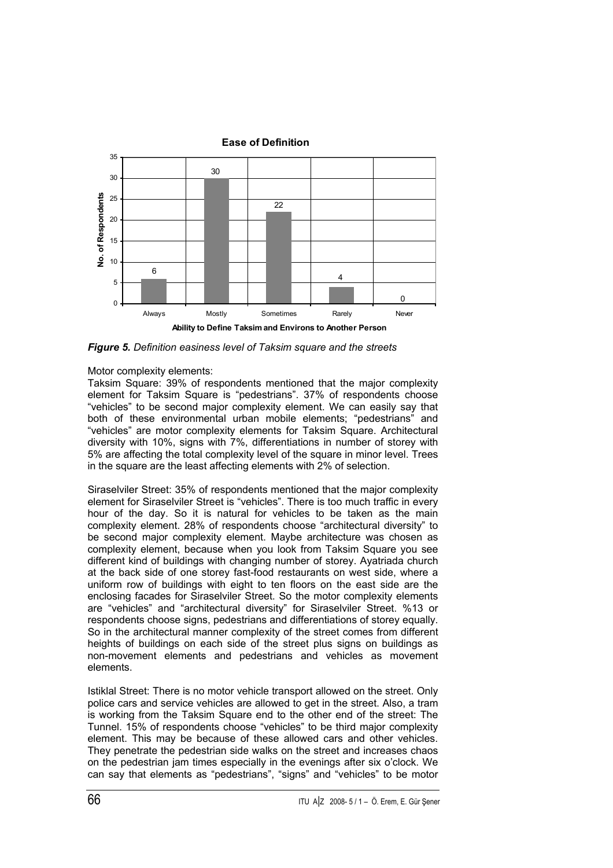

*Figure 5. Definition easiness level of Taksim square and the streets*

Motor complexity elements:

Taksim Square: 39% of respondents mentioned that the major complexity element for Taksim Square is "pedestrians". 37% of respondents choose "vehicles" to be second major complexity element. We can easily say that both of these environmental urban mobile elements; "pedestrians" and "vehicles" are motor complexity elements for Taksim Square. Architectural diversity with 10%, signs with 7%, differentiations in number of storey with 5% are affecting the total complexity level of the square in minor level. Trees in the square are the least affecting elements with 2% of selection.

Siraselviler Street: 35% of respondents mentioned that the major complexity element for Siraselviler Street is "vehicles". There is too much traffic in every hour of the day. So it is natural for vehicles to be taken as the main complexity element. 28% of respondents choose "architectural diversity" to be second major complexity element. Maybe architecture was chosen as complexity element, because when you look from Taksim Square you see different kind of buildings with changing number of storey. Ayatriada church at the back side of one storey fast-food restaurants on west side, where a uniform row of buildings with eight to ten floors on the east side are the enclosing facades for Siraselviler Street. So the motor complexity elements are "vehicles" and "architectural diversity" for Siraselviler Street. %13 or respondents choose signs, pedestrians and differentiations of storey equally. So in the architectural manner complexity of the street comes from different heights of buildings on each side of the street plus signs on buildings as non-movement elements and pedestrians and vehicles as movement elements.

Istiklal Street: There is no motor vehicle transport allowed on the street. Only police cars and service vehicles are allowed to get in the street. Also, a tram is working from the Taksim Square end to the other end of the street: The Tunnel. 15% of respondents choose "vehicles" to be third major complexity element. This may be because of these allowed cars and other vehicles. They penetrate the pedestrian side walks on the street and increases chaos on the pedestrian jam times especially in the evenings after six o'clock. We can say that elements as "pedestrians", "signs" and "vehicles" to be motor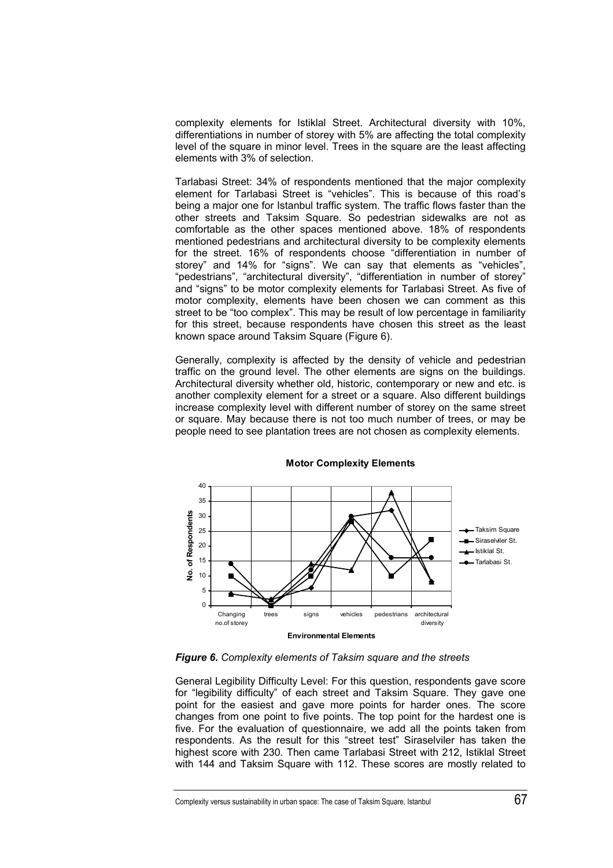complexity elements for Istiklal Street. Architectural diversity with 10%, differentiations in number of storey with 5% are affecting the total complexity level of the square in minor level. Trees in the square are the least affecting elements with 3% of selection.

Tarlabasi Street: 34% of respondents mentioned that the major complexity element for Tarlabasi Street is "vehicles". This is because of this road's being a major one for Istanbul traffic system. The traffic flows faster than the other streets and Taksim Square. So pedestrian sidewalks are not as comfortable as the other spaces mentioned above. 18% of respondents mentioned pedestrians and architectural diversity to be complexity elements for the street. 16% of respondents choose "differentiation in number of storey" and 14% for "signs". We can say that elements as "vehicles", "pedestrians", "architectural diversity", "differentiation in number of storey" and "signs" to be motor complexity elements for Tarlabasi Street. As five of motor complexity, elements have been chosen we can comment as this street to be "too complex". This may be result of low percentage in familiarity for this street, because respondents have chosen this street as the least known space around Taksim Square (Figure 6).

Generally, complexity is affected by the density of vehicle and pedestrian traffic on the ground level. The other elements are signs on the buildings. Architectural diversity whether old, historic, contemporary or new and etc. is another complexity element for a street or a square. Also different buildings increase complexity level with different number of storey on the same street or square. May because there is not too much number of trees, or may be people need to see plantation trees are not chosen as complexity elements.



#### **Motor Complexity Elements**

*Figure 6. Complexity elements of Taksim square and the streets*

General Legibility Difficulty Level: For this question, respondents gave score for "legibility difficulty" of each street and Taksim Square. They gave one point for the easiest and gave more points for harder ones. The score changes from one point to five points. The top point for the hardest one is five. For the evaluation of questionnaire, we add all the points taken from respondents. As the result for this "street test" Siraselviler has taken the highest score with 230. Then came Tarlabasi Street with 212, Istiklal Street with 144 and Taksim Square with 112. These scores are mostly related to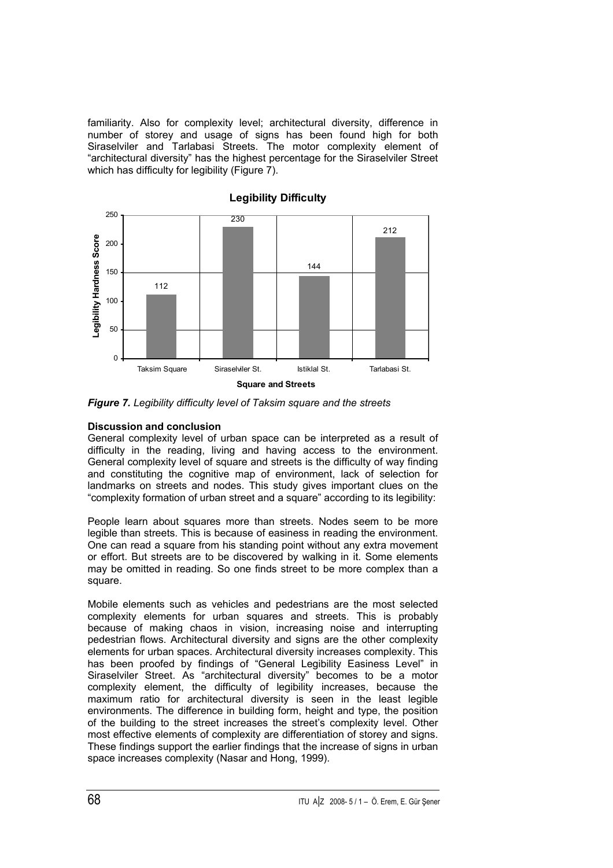familiarity. Also for complexity level; architectural diversity, difference in number of storey and usage of signs has been found high for both Siraselviler and Tarlabasi Streets. The motor complexity element of "architectural diversity" has the highest percentage for the Siraselviler Street which has difficulty for legibility (Figure 7).



*Figure 7. Legibility difficulty level of Taksim square and the streets*

# **Discussion and conclusion**

General complexity level of urban space can be interpreted as a result of difficulty in the reading, living and having access to the environment. General complexity level of square and streets is the difficulty of way finding and constituting the cognitive map of environment, lack of selection for landmarks on streets and nodes. This study gives important clues on the "complexity formation of urban street and a square" according to its legibility:

People learn about squares more than streets. Nodes seem to be more legible than streets. This is because of easiness in reading the environment. One can read a square from his standing point without any extra movement or effort. But streets are to be discovered by walking in it. Some elements may be omitted in reading. So one finds street to be more complex than a square.

Mobile elements such as vehicles and pedestrians are the most selected complexity elements for urban squares and streets. This is probably because of making chaos in vision, increasing noise and interrupting pedestrian flows. Architectural diversity and signs are the other complexity elements for urban spaces. Architectural diversity increases complexity. This has been proofed by findings of "General Legibility Easiness Level" in Siraselviler Street. As "architectural diversity" becomes to be a motor complexity element, the difficulty of legibility increases, because the maximum ratio for architectural diversity is seen in the least legible environments. The difference in building form, height and type, the position of the building to the street increases the street's complexity level. Other most effective elements of complexity are differentiation of storey and signs. These findings support the earlier findings that the increase of signs in urban space increases complexity (Nasar and Hong, 1999).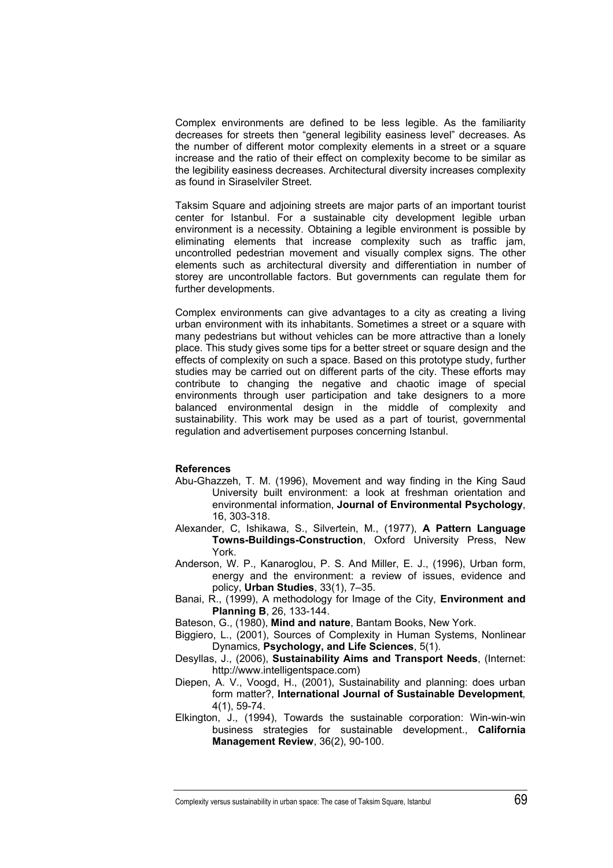Complex environments are defined to be less legible. As the familiarity decreases for streets then "general legibility easiness level" decreases. As the number of different motor complexity elements in a street or a square increase and the ratio of their effect on complexity become to be similar as the legibility easiness decreases. Architectural diversity increases complexity as found in Siraselviler Street.

Taksim Square and adjoining streets are major parts of an important tourist center for Istanbul. For a sustainable city development legible urban environment is a necessity. Obtaining a legible environment is possible by eliminating elements that increase complexity such as traffic jam, uncontrolled pedestrian movement and visually complex signs. The other elements such as architectural diversity and differentiation in number of storey are uncontrollable factors. But governments can regulate them for further developments.

Complex environments can give advantages to a city as creating a living urban environment with its inhabitants. Sometimes a street or a square with many pedestrians but without vehicles can be more attractive than a lonely place. This study gives some tips for a better street or square design and the effects of complexity on such a space. Based on this prototype study, further studies may be carried out on different parts of the city. These efforts may contribute to changing the negative and chaotic image of special environments through user participation and take designers to a more balanced environmental design in the middle of complexity and sustainability. This work may be used as a part of tourist, governmental regulation and advertisement purposes concerning Istanbul.

### **References**

- Abu-Ghazzeh, T. M. (1996), Movement and way finding in the King Saud University built environment: a look at freshman orientation and environmental information, **Journal of Environmental Psychology**, 16, 303-318.
- Alexander, C, Ishikawa, S., Silvertein, M., (1977), **A Pattern Language Towns-Buildings-Construction**, Oxford University Press, New York.
- Anderson, W. P., Kanaroglou, P. S. And Miller, E. J., (1996), Urban form, energy and the environment: a review of issues, evidence and policy, **Urban Studies**, 33(1), 7–35.
- Banai, R., (1999), A methodology for Image of the City, **Environment and Planning B**, 26, 133-144.
- Bateson, G., (1980), **Mind and nature**, Bantam Books, New York.
- Biggiero, L., (2001), Sources of Complexity in Human Systems, Nonlinear Dynamics*,* **Psychology, and Life Sciences**, 5(1).
- Desyllas, J., (2006), **Sustainability Aims and Transport Needs**, (Internet: http://www.intelligentspace.com)
- Diepen, A. V., Voogd, H., (2001), Sustainability and planning: does urban form matter?, **International Journal of Sustainable Development***,* 4(1), 59-74.
- Elkington, J., (1994), Towards the sustainable corporation: Win-win-win business strategies for sustainable development., **California Management Review**, 36(2), 90-100.

Complexity versus sustainability in urban space: The case of Taksim Square, Istanbul  $69$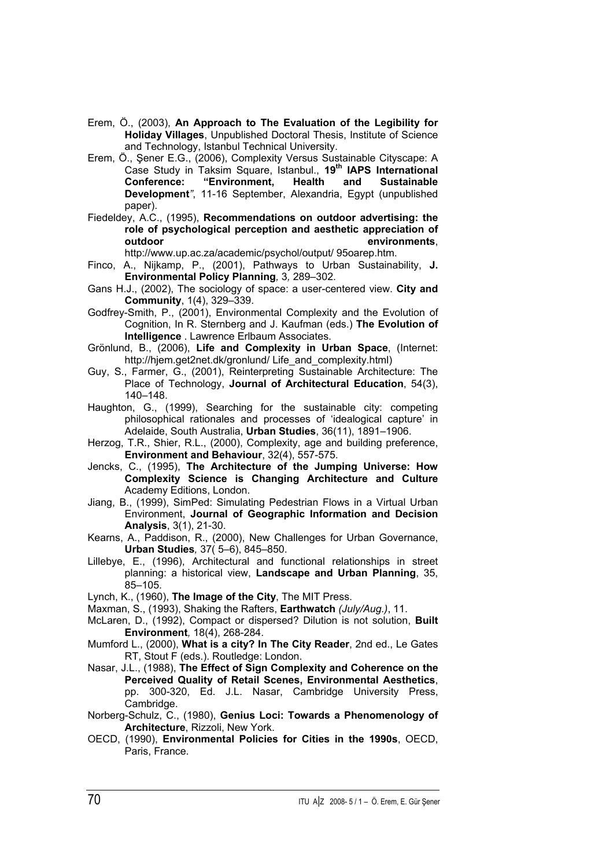- Erem, Ö., (2003), **An Approach to The Evaluation of the Legibility for Holiday Villages**, Unpublished Doctoral Thesis, Institute of Science and Technology, Istanbul Technical University.
- Erem, Ö., Şener E.G., (2006), Complexity Versus Sustainable Cityscape: A Case Study in Taksim Square, Istanbul., **19th IAPS International Conference: "Environment, Health and Sustainable Development***"*, 11-16 September, Alexandria, Egypt (unpublished paper).
- Fiedeldey, A.C., (1995), **Recommendations on outdoor advertising: the role of psychological perception and aesthetic appreciation of environments**,

http://www.up.ac.za/academic/psychol/output/ 95oarep.htm.

- Finco, A., Nijkamp, P., (2001), Pathways to Urban Sustainability, **J. Environmental Policy Planning***,* 3*,* 289–302.
- Gans H.J., (2002), The sociology of space: a user-centered view. **City and Community**, 1(4), 329–339.
- Godfrey-Smith, P., (2001), Environmental Complexity and the Evolution of Cognition, In R. Sternberg and J. Kaufman (eds.) **The Evolution of Intelligence** . Lawrence Erlbaum Associates.
- Grönlund, B., (2006), **Life and Complexity in Urban Space**, (Internet: http://hjem.get2net.dk/gronlund/ Life\_and\_complexity.html)
- Guy, S., Farmer, G., (2001), Reinterpreting Sustainable Architecture: The Place of Technology, **Journal of Architectural Education**, 54(3), 140–148.
- Haughton, G., (1999), Searching for the sustainable city: competing philosophical rationales and processes of 'idealogical capture' in Adelaide, South Australia, **Urban Studies**, 36(11), 1891–1906.
- Herzog, T.R., Shier, R.L., (2000), Complexity, age and building preference, **Environment and Behaviour**, 32(4), 557-575.
- Jencks, C., (1995), **The Architecture of the Jumping Universe: How Complexity Science is Changing Architecture and Culture** Academy Editions, London.
- Jiang, B., (1999), SimPed: Simulating Pedestrian Flows in a Virtual Urban Environment, **Journal of Geographic Information and Decision Analysis**, 3(1), 21-30.
- Kearns, A., Paddison, R., (2000), New Challenges for Urban Governance, **Urban Studies***,* 37( 5–6), 845–850.
- Lillebye, E., (1996), Architectural and functional relationships in street planning: a historical view, **Landscape and Urban Planning**, 35, 85–105.
- Lynch, K., (1960), **The Image of the City**, The MIT Press.
- Maxman, S., (1993), Shaking the Rafters, **Earthwatch** *(July/Aug.)*, 11.
- McLaren, D., (1992), Compact or dispersed? Dilution is not solution, **Built Environment***,* 18(4), 268-284.
- Mumford L., (2000), **What is a city? In The City Reader**, 2nd ed., Le Gates RT, Stout F (eds.). Routledge: London.
- Nasar, J.L., (1988), **The Effect of Sign Complexity and Coherence on the Perceived Quality of Retail Scenes, Environmental Aesthetics**, pp. 300-320, Ed. J.L. Nasar, Cambridge University Press, Cambridge.
- Norberg-Schulz, C., (1980), **Genius Loci: Towards a Phenomenology of Architecture**, Rizzoli, New York.
- OECD, (1990), **Environmental Policies for Cities in the 1990s**, OECD, Paris, France.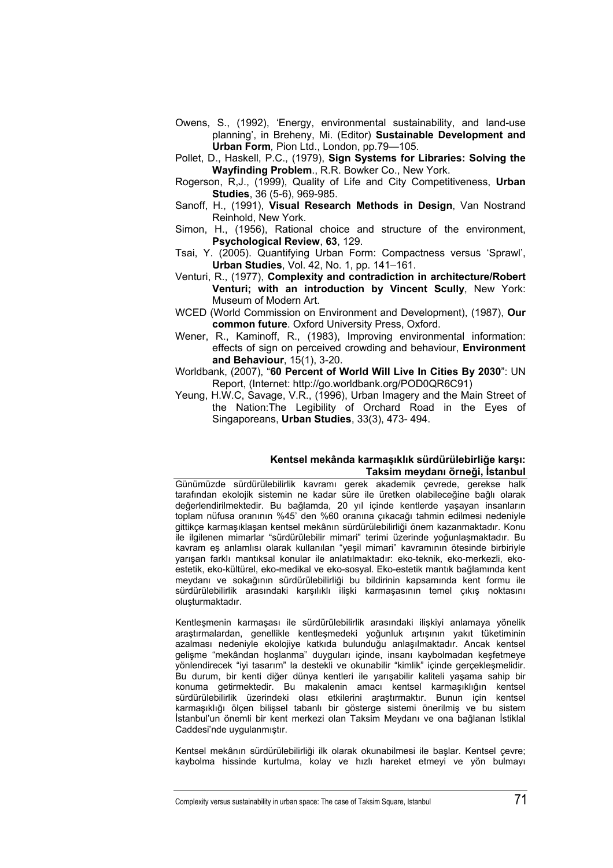- Owens, S., (1992), 'Energy, environmental sustainability, and land-use planning', in Breheny, Mi. (Editor) **Sustainable Development and Urban Form***,* Pion Ltd., London, pp.79—105.
- Pollet, D., Haskell, P.C., (1979), **Sign Systems for Libraries: Solving the Wayfinding Problem**., R.R. Bowker Co., New York.
- Rogerson, R,J., (1999), Quality of Life and City Competitiveness, **Urban Studies**, 36 (5-6), 969-985.
- Sanoff, H., (1991), **Visual Research Methods in Design**, Van Nostrand Reinhold, New York.
- Simon, H., (1956), Rational choice and structure of the environment, **Psychological Review**, **63**, 129.
- Tsai, Y. (2005). Quantifying Urban Form: Compactness versus 'Sprawl', **Urban Studies**, Vol. 42, No. 1, pp. 141–161.
- Venturi, R., (1977), **Complexity and contradiction in architecture/Robert Venturi; with an introduction by Vincent Scully**, New York: Museum of Modern Art.
- WCED (World Commission on Environment and Development), (1987), **Our common future**. Oxford University Press, Oxford.
- Wener, R., Kaminoff, R., (1983), Improving environmental information: effects of sign on perceived crowding and behaviour, **Environment and Behaviour**, 15(1), 3-20.
- Worldbank, (2007), "**60 Percent of World Will Live In Cities By 2030**": UN Report, (Internet: http://go.worldbank.org/POD0QR6C91)
- Yeung, H.W.C, Savage, V.R., (1996), Urban Imagery and the Main Street of the Nation:The Legibility of Orchard Road in the Eyes of Singaporeans, **Urban Studies**, 33(3), 473- 494.

### **Kentsel mekânda karmaşıklık sürdürülebirliğe karşı: Taksim meydanı örneği, İstanbul**

Günümüzde sürdürülebilirlik kavramı gerek akademik çevrede, gerekse halk tarafından ekolojik sistemin ne kadar süre ile üretken olabileceğine bağlı olarak değerlendirilmektedir. Bu bağlamda, 20 yıl içinde kentlerde yaşayan insanların toplam nüfusa oranının %45' den %60 oranına çıkacağı tahmin edilmesi nedeniyle gittikçe karmaşıklaşan kentsel mekânın sürdürülebilirliği önem kazanmaktadır. Konu ile ilgilenen mimarlar "sürdürülebilir mimari" terimi üzerinde yoğunlaşmaktadır. Bu kavram eş anlamlısı olarak kullanılan "yeşil mimari" kavramının ötesinde birbiriyle yarışan farklı mantıksal konular ile anlatılmaktadır: eko-teknik, eko-merkezli, ekoestetik, eko-kültürel, eko-medikal ve eko-sosyal. Eko-estetik mantık bağlamında kent meydanı ve sokağının sürdürülebilirliği bu bildirinin kapsamında kent formu ile sürdürülebilirlik arasındaki karşılıklı ilişki karmaşasının temel çıkış noktasını oluşturmaktadır.

Kentleşmenin karmaşası ile sürdürülebilirlik arasındaki ilişkiyi anlamaya yönelik araştırmalardan, genellikle kentleşmedeki yoğunluk artışının yakıt tüketiminin azalması nedeniyle ekolojiye katkıda bulunduğu anlaşılmaktadır. Ancak kentsel gelişme "mekândan hoşlanma" duyguları içinde, insanı kaybolmadan keşfetmeye yönlendirecek "iyi tasarım" la destekli ve okunabilir "kimlik" içinde gerçekleşmelidir. Bu durum, bir kenti diğer dünya kentleri ile yarışabilir kaliteli yaşama sahip bir konuma getirmektedir. Bu makalenin amacı kentsel karmaşıklığın kentsel sürdürülebilirlik üzerindeki olası etkilerini araştırmaktır. Bunun için kentsel karmaşıklığı ölçen bilişsel tabanlı bir gösterge sistemi önerilmiş ve bu sistem İstanbul'un önemli bir kent merkezi olan Taksim Meydanı ve ona bağlanan İstiklal Caddesi'nde uygulanmıştır.

Kentsel mekânın sürdürülebilirliği ilk olarak okunabilmesi ile başlar. Kentsel çevre; kaybolma hissinde kurtulma, kolay ve hızlı hareket etmeyi ve yön bulmayı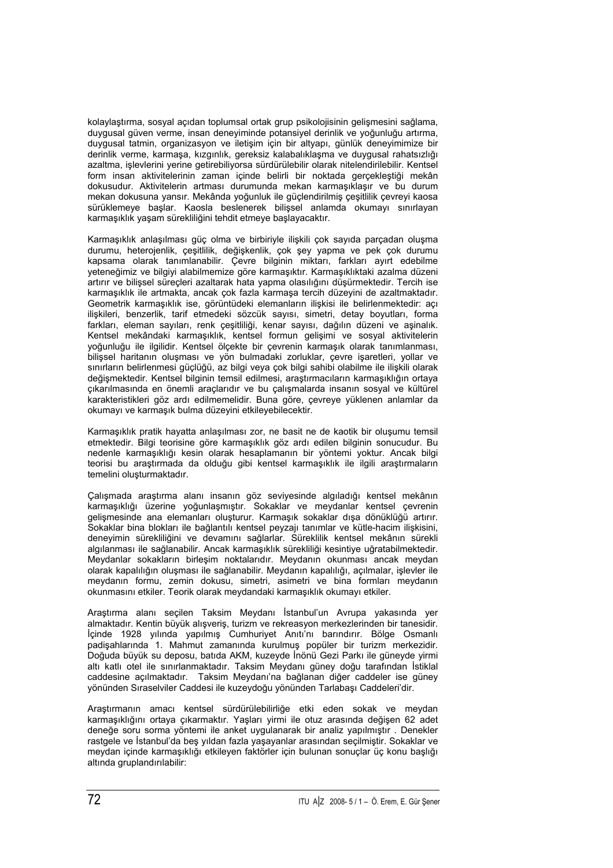kolaylaştırma, sosyal açıdan toplumsal ortak grup psikolojisinin gelişmesini sağlama, duygusal güven verme, insan deneyiminde potansiyel derinlik ve yoğunluğu artırma, duygusal tatmin, organizasyon ve iletişim için bir altyapı, günlük deneyimimize bir derinlik verme, karmaşa, kızgınlık, gereksiz kalabalıklaşma ve duygusal rahatsızlığı azaltma, işlevlerini yerine getirebiliyorsa sürdürülebilir olarak nitelendirilebilir. Kentsel form insan aktivitelerinin zaman içinde belirli bir noktada gerçekleştiği mekân dokusudur. Aktivitelerin artması durumunda mekan karmaşıklaşır ve bu durum mekan dokusuna yansır. Mekânda yoğunluk ile güçlendirilmiş çeşitlilik çevreyi kaosa sürüklemeye başlar. Kaosla beslenerek bilişsel anlamda okumayı sınırlayan karmaşıklık yaşam sürekliliğini tehdit etmeye başlayacaktır.

Karmaşıklık anlaşılması güç olma ve birbiriyle ilişkili çok sayıda parçadan oluşma durumu, heterojenlik, çeşitlilik, değişkenlik, çok şey yapma ve pek çok durumu kapsama olarak tanımlanabilir. Çevre bilginin miktarı, farkları ayırt edebilme yeteneğimiz ve bilgiyi alabilmemize göre karmaşıktır. Karmaşıklıktaki azalma düzeni artırır ve bilişsel süreçleri azaltarak hata yapma olasılığını düşürmektedir. Tercih ise karmaşıklık ile artmakta, ancak çok fazla karmaşa tercih düzeyini de azaltmaktadır. Geometrik karmaşıklık ise, görüntüdeki elemanların ilişkisi ile belirlenmektedir: açı ilişkileri, benzerlik, tarif etmedeki sözcük sayısı, simetri, detay boyutları, forma farkları, eleman sayıları, renk çeşitliliği, kenar sayısı, dağılın düzeni ve aşinalık. Kentsel mekândaki karmaşıklık, kentsel formun gelişimi ve sosyal aktivitelerin yoğunluğu ile ilgilidir. Kentsel ölçekte bir çevrenin karmaşık olarak tanımlanması, bilişsel haritanın oluşması ve yön bulmadaki zorluklar, çevre işaretleri, yollar ve sınırların belirlenmesi güçlüğü, az bilgi veya çok bilgi sahibi olabilme ile ilişkili olarak değişmektedir. Kentsel bilginin temsil edilmesi, araştırmacıların karmaşıklığın ortaya çıkarılmasında en önemli araçlarıdır ve bu çalışmalarda insanın sosyal ve kültürel karakteristikleri göz ardı edilmemelidir. Buna göre, çevreye yüklenen anlamlar da okumayı ve karmaşık bulma düzeyini etkileyebilecektir.

Karmaşıklık pratik hayatta anlaşılması zor, ne basit ne de kaotik bir oluşumu temsil etmektedir. Bilgi teorisine göre karmaşıklık göz ardı edilen bilginin sonucudur. Bu nedenle karmaşıklığı kesin olarak hesaplamanın bir yöntemi yoktur. Ancak bilgi teorisi bu araştırmada da olduğu gibi kentsel karmaşıklık ile ilgili araştırmaların temelini oluşturmaktadır.

Çalışmada araştırma alanı insanın göz seviyesinde algıladığı kentsel mekânın karmaşıklığı üzerine yoğunlaşmıştır. Sokaklar ve meydanlar kentsel çevrenin gelişmesinde ana elemanları oluşturur. Karmaşık sokaklar dışa dönüklüğü artırır. Sokaklar bina blokları ile bağlantılı kentsel peyzajı tanımlar ve kütle-hacim ilişkisini, deneyimin sürekliliğini ve devamını sağlarlar. Süreklilik kentsel mekânın sürekli algılanması ile sağlanabilir. Ancak karmaşıklık sürekliliği kesintiye uğratabilmektedir. Meydanlar sokakların birleşim noktalarıdır. Meydanın okunması ancak meydan olarak kapalılığın oluşması ile sağlanabilir. Meydanın kapalılığı, açılmalar, işlevler ile meydanın formu, zemin dokusu, simetri, asimetri ve bina formları meydanın okunmasını etkiler. Teorik olarak meydandaki karmaşıklık okumayı etkiler.

Araştırma alanı seçilen Taksim Meydanı İstanbul'un Avrupa yakasında yer almaktadır. Kentin büyük alışveriş, turizm ve rekreasyon merkezlerinden bir tanesidir. İçinde 1928 yılında yapılmış Cumhuriyet Anıtı'nı barındırır. Bölge Osmanlı padişahlarında 1. Mahmut zamanında kurulmuş popüler bir turizm merkezidir. Doğuda büyük su deposu, batıda AKM, kuzeyde İnönü Gezi Parkı ile güneyde yirmi altı katlı otel ile sınırlanmaktadır. Taksim Meydanı güney doğu tarafından İstiklal caddesine açılmaktadır. Taksim Meydanı'na bağlanan diğer caddeler ise güney yönünden Sıraselviler Caddesi ile kuzeydoğu yönünden Tarlabaşı Caddeleri'dir.

Araştırmanın amacı kentsel sürdürülebilirliğe etki eden sokak ve meydan karmaşıklığını ortaya çıkarmaktır. Yaşları yirmi ile otuz arasında değişen 62 adet deneğe soru sorma yöntemi ile anket uygulanarak bir analiz yapılmıştır . Denekler rastgele ve İstanbul'da beş yıldan fazla yaşayanlar arasından seçilmiştir. Sokaklar ve meydan içinde karmaşıklığı etkileyen faktörler için bulunan sonuçlar üç konu başlığı altında gruplandırılabilir: